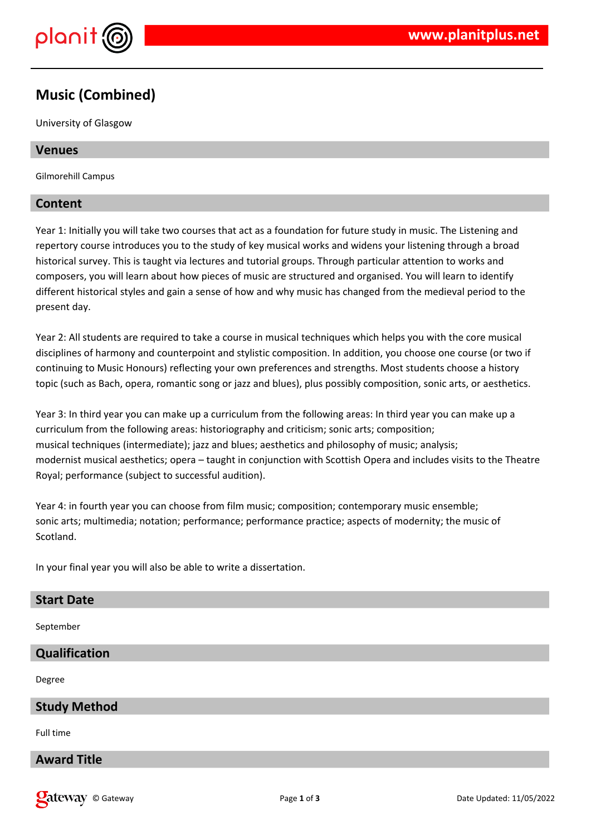

# **Music (Combined)**

University of Glasgow

#### **Venues**

Gilmorehill Campus

#### **Content**

Year 1: Initially you will take two courses that act as a foundation for future study in music. The Listening and repertory course introduces you to the study of key musical works and widens your listening through a broad historical survey. This is taught via lectures and tutorial groups. Through particular attention to works and composers, you will learn about how pieces of music are structured and organised. You will learn to identify different historical styles and gain a sense of how and why music has changed from the medieval period to the present day.

Year 2: All students are required to take a course in musical techniques which helps you with the core musical disciplines of harmony and counterpoint and stylistic composition. In addition, you choose one course (or two if continuing to Music Honours) reflecting your own preferences and strengths. Most students choose a history topic (such as Bach, opera, romantic song or jazz and blues), plus possibly composition, sonic arts, or aesthetics.

Year 3: In third year you can make up a curriculum from the following areas: In third year you can make up a curriculum from the following areas: historiography and criticism; sonic arts; composition; musical techniques (intermediate); jazz and blues; aesthetics and philosophy of music; analysis; modernist musical aesthetics; opera – taught in conjunction with Scottish Opera and includes visits to the Theatre Royal; performance (subject to successful audition).

Year 4: in fourth year you can choose from film music; composition; contemporary music ensemble; sonic arts; multimedia; notation; performance; performance practice; aspects of modernity; the music of Scotland.

In your final year you will also be able to write a dissertation.

#### **Start Date**

September

#### **Qualification**

Degree

#### **Study Method**

Full time

#### **Award Title**

**Call 2008** Date Way Content of Building Page 1 of 3 Date Updated: 11/05/2022 Date Updated: 11/05/2022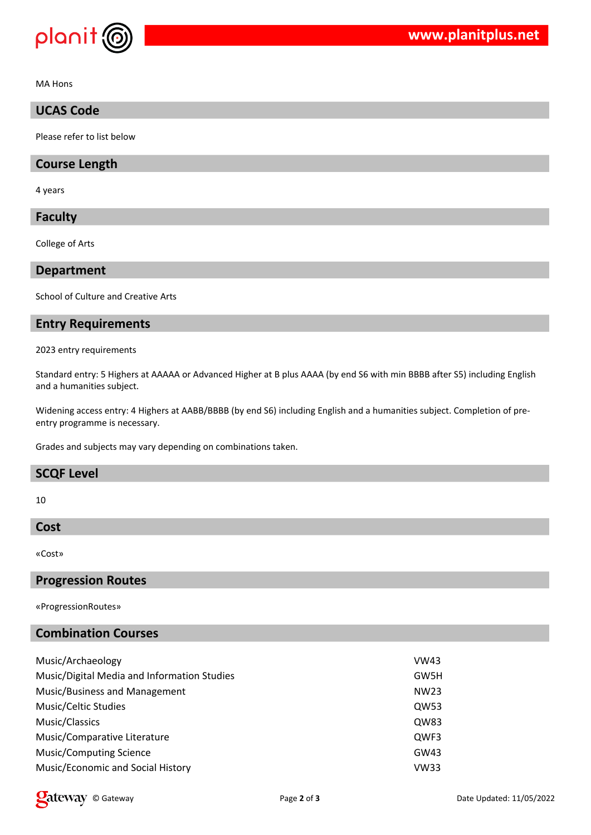

MA Hons

### **UCAS Code**

Please refer to list below

#### **Course Length**

4 years

#### **Faculty**

College of Arts

#### **Department**

School of Culture and Creative Arts

#### **Entry Requirements**

2023 entry requirements

Standard entry: 5 Highers at AAAAA or Advanced Higher at B plus AAAA (by end S6 with min BBBB after S5) including English and a humanities subject.

Widening access entry: 4 Highers at AABB/BBBB (by end S6) including English and a humanities subject. Completion of preentry programme is necessary.

Grades and subjects may vary depending on combinations taken.

#### **SCQF Level**

10

#### **Cost**

«Cost»

#### **Progression Routes**

«ProgressionRoutes»

#### **Combination Courses**

| Music/Archaeology                           | VW43             |
|---------------------------------------------|------------------|
| Music/Digital Media and Information Studies | GW5H             |
| Music/Business and Management               | NW <sub>23</sub> |
| Music/Celtic Studies                        | QW53             |
| Music/Classics                              | QW83             |
| Music/Comparative Literature                | QWF3             |
| <b>Music/Computing Science</b>              | GW43             |
| Music/Economic and Social History           | <b>VW33</b>      |

© Gateway Page **2** of **3** Date Updated: 11/05/2022